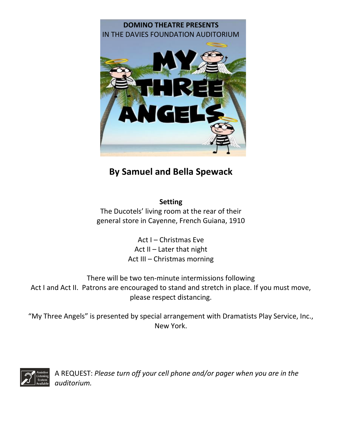

# **By Samuel and Bella Spewack**

**Setting** 

The Ducotels' living room at the rear of their general store in Cayenne, French Guiana, 1910

> Act I – Christmas Eve Act II – Later that night Act III – Christmas morning

There will be two ten-minute intermissions following Act I and Act II. Patrons are encouraged to stand and stretch in place. If you must move, please respect distancing.

"My Three Angels" is presented by special arrangement with Dramatists Play Service, Inc., New York.



A REQUEST: *Please turn off your cell phone and/or pager when you are in the auditorium.*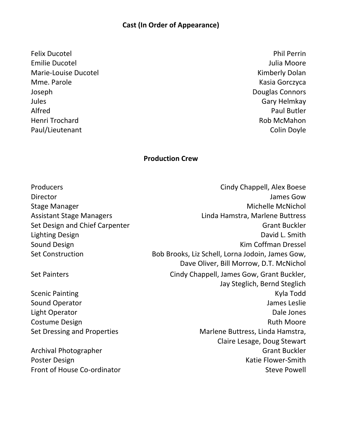# **Cast (In Order of Appearance)**

Felix Ducotel **Phil Perrin** Emilie Ducotel **According to the United States of the United States and According to According the United States According to According the United States and According to According the United States and According to Accord** Marie-Louise Ducotel **Marie-Louise Ducotel Kimberly Dolan** Mme. Parole **Kasia Gorczyca** Joseph Douglas Connors Jules Gary Helmkay Alfred Paul Butler Henri Trochard **Rob McMahon** Paul/Lieutenant Colin Doyle

#### **Production Crew**

| Producers                       | Cindy Chappell, Alex Boese                       |
|---------------------------------|--------------------------------------------------|
| Director                        | James Gow                                        |
| <b>Stage Manager</b>            | <b>Michelle McNichol</b>                         |
| <b>Assistant Stage Managers</b> | Linda Hamstra, Marlene Buttress                  |
| Set Design and Chief Carpenter  | <b>Grant Buckler</b>                             |
| Lighting Design                 | David L. Smith                                   |
| Sound Design                    | Kim Coffman Dressel                              |
| <b>Set Construction</b>         | Bob Brooks, Liz Schell, Lorna Jodoin, James Gow, |
|                                 | Dave Oliver, Bill Morrow, D.T. McNichol          |
| <b>Set Painters</b>             | Cindy Chappell, James Gow, Grant Buckler,        |
|                                 | Jay Steglich, Bernd Steglich                     |
| <b>Scenic Painting</b>          | Kyla Todd                                        |
| Sound Operator                  | James Leslie                                     |
| Light Operator                  | Dale Jones                                       |
| Costume Design                  | <b>Ruth Moore</b>                                |
| Set Dressing and Properties     | Marlene Buttress, Linda Hamstra,                 |
|                                 | Claire Lesage, Doug Stewart                      |
| Archival Photographer           | <b>Grant Buckler</b>                             |
| <b>Poster Design</b>            | Katie Flower-Smith                               |

Front of House Co-ordinator Steve Powell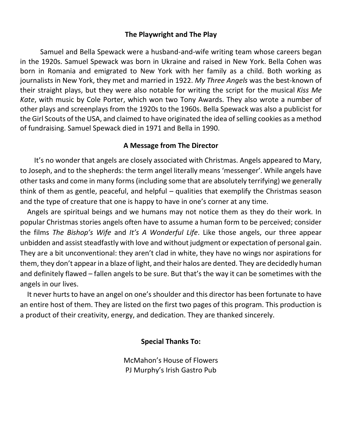## **The Playwright and The Play**

Samuel and Bella Spewack were a husband-and-wife writing team whose careers began in the 1920s. Samuel Spewack was born in Ukraine and raised in New York. Bella Cohen was born in Romania and emigrated to New York with her family as a child. Both working as journalists in New York, they met and married in 1922. *My Three Angels* was the best-known of their straight plays, but they were also notable for writing the script for the musical *Kiss Me Kate*, with music by Cole Porter, which won two Tony Awards. They also wrote a number of other plays and screenplays from the 1920s to the 1960s. Bella Spewack was also a publicist for the Girl Scouts of the USA, and claimed to have originated the idea of selling cookies as a method of fundraising. Samuel Spewack died in 1971 and Bella in 1990.

### **A Message from The Director**

 It's no wonder that angels are closely associated with Christmas. Angels appeared to Mary, to Joseph, and to the shepherds: the term angel literally means 'messenger'. While angels have other tasks and come in many forms (including some that are absolutely terrifying) we generally think of them as gentle, peaceful, and helpful – qualities that exemplify the Christmas season and the type of creature that one is happy to have in one's corner at any time.

 Angels are spiritual beings and we humans may not notice them as they do their work. In popular Christmas stories angels often have to assume a human form to be perceived; consider the films *The Bishop's Wife* and *It's A Wonderful Life*. Like those angels, our three appear unbidden and assist steadfastly with love and without judgment or expectation of personal gain. They are a bit unconventional: they aren't clad in white, they have no wings nor aspirations for them, they don't appear in a blaze of light, and their halos are dented. They are decidedly human and definitely flawed – fallen angels to be sure. But that's the way it can be sometimes with the angels in our lives.

 It never hurts to have an angel on one's shoulder and this director has been fortunate to have an entire host of them. They are listed on the first two pages of this program. This production is a product of their creativity, energy, and dedication. They are thanked sincerely.

#### **Special Thanks To:**

McMahon's House of Flowers PJ Murphy's Irish Gastro Pub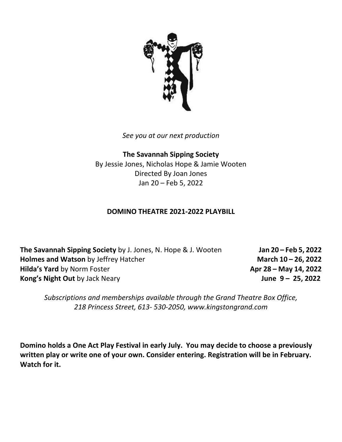

*See you at our next production*

**The Savannah Sipping Society** By Jessie Jones, Nicholas Hope & Jamie Wooten Directed By Joan Jones Jan 20 – Feb 5, 2022

### **DOMINO THEATRE 2021-2022 PLAYBILL**

**The Savannah Sipping Society** by J. Jones, N. Hope & J. Wooten **Jan 20 – Feb 5, 2022 Holmes and Watson** by Jeffrey Hatcher **March March** 10 – 26, 2022 **Hilda's Yard** by Norm Foster **Apr 28 – May 14, 2022 Kong's Night Out** by Jack Neary **June 9 – 25, 2022**

*Subscriptions and memberships available through the Grand Theatre Box Office, 218 Princess Street, 613- 530-2050, www.kingstongrand.com*

**Domino holds a One Act Play Festival in early July. You may decide to choose a previously written play or write one of your own. Consider entering. Registration will be in February. Watch for it.**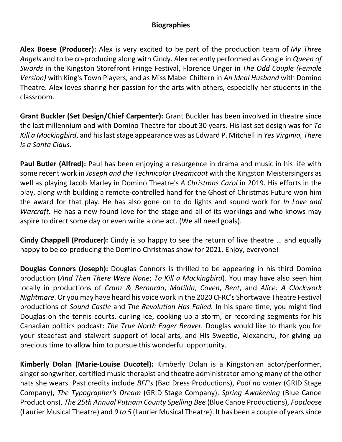## **Biographies**

**Alex Boese (Producer):** Alex is very excited to be part of the production team of *My Three Angels* and to be co-producing along with Cindy. Alex recently performed as Google in *Queen of Swords* in the Kingston Storefront Fringe Festival, Florence Unger in *The Odd Couple (Female Version)* with King's Town Players, and as Miss Mabel Chiltern in *An Ideal Husband* with Domino Theatre. Alex loves sharing her passion for the arts with others, especially her students in the classroom.

**Grant Buckler (Set Design/Chief Carpenter):** Grant Buckler has been involved in theatre since the last millennium and with Domino Theatre for about 30 years. His last set design was for *To Kill a Mockingbird*, and his last stage appearance was as Edward P. Mitchell in *Yes Virginia, There Is a Santa Claus*.

**Paul Butler (Alfred):** Paul has been enjoying a resurgence in drama and music in his life with some recent work in *Joseph and the Technicolor Dreamcoat* with the Kingston Meistersingers as well as playing Jacob Marley in Domino Theatre's *A Christmas Carol* in 2019. His efforts in the play, along with building a remote-controlled hand for the Ghost of Christmas Future won him the award for that play. He has also gone on to do lights and sound work for *In Love and Warcraft.* He has a new found love for the stage and all of its workings and who knows may aspire to direct some day or even write a one act. (We all need goals).

**Cindy Chappell (Producer):** Cindy is so happy to see the return of live theatre … and equally happy to be co-producing the Domino Christmas show for 2021. Enjoy, everyone!

**Douglas Connors (Joseph):** Douglas Connors is thrilled to be appearing in his third Domino production (*And Then There Were None*; *To Kill a Mockingbird*). You may have also seen him locally in productions of *Cranz & Bernardo*, *Matilda*, *Coven*, *Bent*, and *Alice: A Clockwork Nightmare*. Or you may have heard his voice work in the 2020 CFRC's Shortwave Theatre Festival productions of *Sound Castle* and *The Revolution Has Failed.* In his spare time, you might find Douglas on the tennis courts, curling ice, cooking up a storm, or recording segments for his Canadian politics podcast: *The True North Eager Beaver.* Douglas would like to thank you for your steadfast and stalwart support of local arts, and His Sweetie, Alexandru, for giving up precious time to allow him to pursue this wonderful opportunity.

**Kimberly Dolan (Marie-Louise Ducotel):** Kimberly Dolan is a Kingstonian actor/performer, singer songwriter, certified music therapist and theatre administrator among many of the other hats she wears. Past credits include *BFF's* (Bad Dress Productions), *Pool no water* (GRID Stage Company), *The Typographer's Dream* (GRID Stage Company), *Spring Awakening* (Blue Canoe Productions), *The 25th Annual Putnam County Spelling Bee* (Blue Canoe Productions), *Footloose* (Laurier Musical Theatre) and *9 to 5* (Laurier Musical Theatre). It has been a couple of years since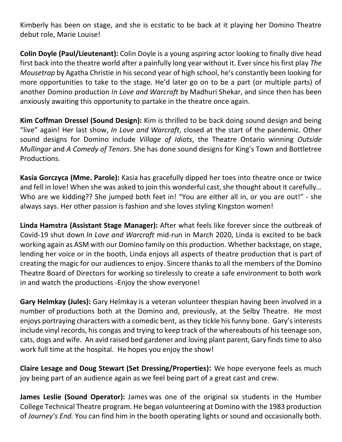Kimberly has been on stage, and she is ecstatic to be back at it playing her Domino Theatre debut role, Marie Louise!

**Colin Doyle (Paul/Lieutenant):** Colin Doyle is a young aspiring actor looking to finally dive head first back into the theatre world after a painfully long year without it. Ever since his first play *The Mousetrap* by Agatha Christie in his second year of high school, he's constantly been looking for more opportunities to take to the stage. He'd later go on to be a part (or multiple parts) of another Domino production *In Love and Warcraft* by Madhuri Shekar, and since then has been anxiously awaiting this opportunity to partake in the theatre once again.

**Kim Coffman Dressel (Sound Design):** Kim is thrilled to be back doing sound design and being "live" again! Her last show, *In Love and Warcraft*, closed at the start of the pandemic. Other sound designs for Domino include *Village of Idiots*, the Theatre Ontario winning *Outside Mullingar* and *A Comedy of Tenors*. She has done sound designs for King's Town and Bottletree Productions.

**Kasia Gorczyca (Mme. Parole):** Kasia has gracefully dipped her toes into theatre once or twice and fell in love! When she was asked to join this wonderful cast, she thought about it carefully… Who are we kidding?? She jumped both feet in! "You are either all in, or you are out!" - she always says. Her other passion is fashion and she loves styling Kingston women!

**Linda Hamstra (Assistant Stage Manager):** After what feels like forever since the outbreak of Covid-19 shut down *In Love and Warcraft* mid-run in March 2020, Linda is excited to be back working again as ASM with our Domino family on this production. Whether backstage, on stage, lending her voice or in the booth, Linda enjoys all aspects of theatre production that is part of creating the magic for our audiences to enjoy. Sincere thanks to all the members of the Domino Theatre Board of Directors for working so tirelessly to create a safe environment to both work in and watch the productions -Enjoy the show everyone!

**Gary Helmkay (Jules):** Gary Helmkay is a veteran volunteer thespian having been involved in a number of productions both at the Domino and, previously, at the Selby Theatre. He most enjoys portraying characters with a comedic bent, as they tickle his funny bone. Gary's interests include vinyl records, his congas and trying to keep track of the whereabouts of his teenage son, cats, dogs and wife. An avid raised bed gardener and loving plant parent, Gary finds time to also work full time at the hospital. He hopes you enjoy the show!

**Claire Lesage and Doug Stewart (Set Dressing/Properties):** We hope everyone feels as much joy being part of an audience again as we feel being part of a great cast and crew.

**James Leslie (Sound Operator):** James was one of the original six students in the Humber College Technical Theatre program. He began volunteering at Domino with the 1983 production of *Journey's End.* You can find him in the booth operating lights or sound and occasionally both.